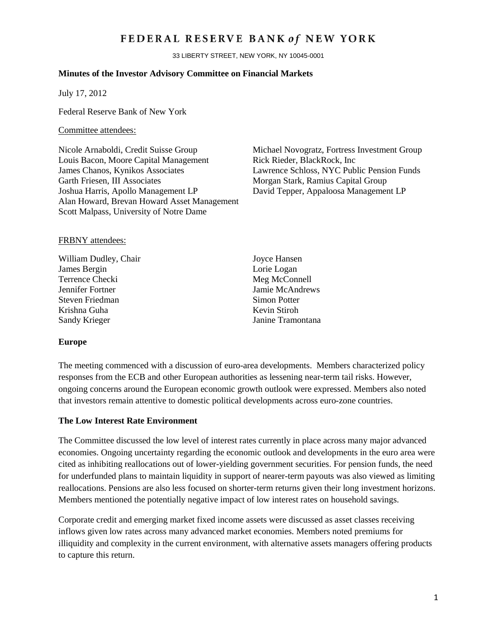## FEDERAL RESERVE BANK of NEW YORK

33 LIBERTY STREET, NEW YORK, NY 10045-0001

#### **Minutes of the Investor Advisory Committee on Financial Markets**

July 17, 2012

Federal Reserve Bank of New York

#### Committee attendees:

Nicole Arnaboldi, Credit Suisse Group Michael Novogratz, Fortress Investment Group Louis Bacon, Moore Capital Management Rick Rieder, BlackRock, Inc James Chanos, Kynikos Associates Lawrence Schloss, NYC Public Pension Funds Garth Friesen, III Associates **Morgan Stark, Ramius Capital Group** Joshua Harris, Apollo Management LP David Tepper, Appaloosa Management LP Alan Howard, Brevan Howard Asset Management Scott Malpass, University of Notre Dame

#### FRBNY attendees:

William Dudley, Chair Joyce Hansen James Bergin Lorie Logan Terrence Checki Meg McConnell Jennifer Fortner Jamie McAndrews<br>Steven Friedman Simon Potter Steven Friedman Krishna Guha Kevin Stiroh Sandy Krieger Janine Tramontana

#### **Europe**

The meeting commenced with a discussion of euro-area developments. Members characterized policy responses from the ECB and other European authorities as lessening near-term tail risks. However, ongoing concerns around the European economic growth outlook were expressed. Members also noted that investors remain attentive to domestic political developments across euro-zone countries.

#### **The Low Interest Rate Environment**

The Committee discussed the low level of interest rates currently in place across many major advanced economies. Ongoing uncertainty regarding the economic outlook and developments in the euro area were cited as inhibiting reallocations out of lower-yielding government securities. For pension funds, the need for underfunded plans to maintain liquidity in support of nearer-term payouts was also viewed as limiting reallocations. Pensions are also less focused on shorter-term returns given their long investment horizons. Members mentioned the potentially negative impact of low interest rates on household savings.

Corporate credit and emerging market fixed income assets were discussed as asset classes receiving inflows given low rates across many advanced market economies. Members noted premiums for illiquidity and complexity in the current environment, with alternative assets managers offering products to capture this return.